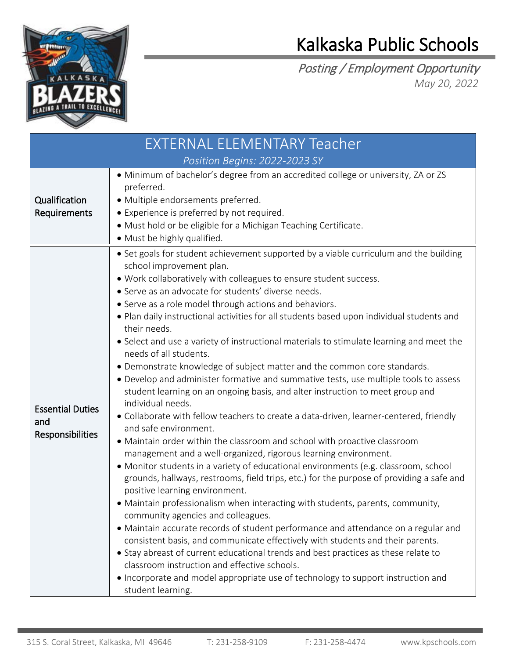

## Kalkaska Public Schools

Posting / Employment Opportunity *May 20, 2022*

| <b>EXTERNAL ELEMENTARY Teacher</b>                 |                                                                                                                                                                                                                                                                                                                                                                                                                                                                                                                                                                                                                                                                                                                                                                                                                                                                                                                                                                                                                                                                                                                                                                                                                                                                                                                                                                                                                                                                                                                                                                                                                                                                                                                                                                                                                                                             |  |  |
|----------------------------------------------------|-------------------------------------------------------------------------------------------------------------------------------------------------------------------------------------------------------------------------------------------------------------------------------------------------------------------------------------------------------------------------------------------------------------------------------------------------------------------------------------------------------------------------------------------------------------------------------------------------------------------------------------------------------------------------------------------------------------------------------------------------------------------------------------------------------------------------------------------------------------------------------------------------------------------------------------------------------------------------------------------------------------------------------------------------------------------------------------------------------------------------------------------------------------------------------------------------------------------------------------------------------------------------------------------------------------------------------------------------------------------------------------------------------------------------------------------------------------------------------------------------------------------------------------------------------------------------------------------------------------------------------------------------------------------------------------------------------------------------------------------------------------------------------------------------------------------------------------------------------------|--|--|
| Position Begins: 2022-2023 SY                      |                                                                                                                                                                                                                                                                                                                                                                                                                                                                                                                                                                                                                                                                                                                                                                                                                                                                                                                                                                                                                                                                                                                                                                                                                                                                                                                                                                                                                                                                                                                                                                                                                                                                                                                                                                                                                                                             |  |  |
| Qualification<br>Requirements                      | · Minimum of bachelor's degree from an accredited college or university, ZA or ZS<br>preferred.<br>· Multiple endorsements preferred.<br>• Experience is preferred by not required.<br>· Must hold or be eligible for a Michigan Teaching Certificate.<br>• Must be highly qualified.                                                                                                                                                                                                                                                                                                                                                                                                                                                                                                                                                                                                                                                                                                                                                                                                                                                                                                                                                                                                                                                                                                                                                                                                                                                                                                                                                                                                                                                                                                                                                                       |  |  |
| <b>Essential Duties</b><br>and<br>Responsibilities | • Set goals for student achievement supported by a viable curriculum and the building<br>school improvement plan.<br>. Work collaboratively with colleagues to ensure student success.<br>• Serve as an advocate for students' diverse needs.<br>• Serve as a role model through actions and behaviors.<br>. Plan daily instructional activities for all students based upon individual students and<br>their needs.<br>• Select and use a variety of instructional materials to stimulate learning and meet the<br>needs of all students.<br>• Demonstrate knowledge of subject matter and the common core standards.<br>• Develop and administer formative and summative tests, use multiple tools to assess<br>student learning on an ongoing basis, and alter instruction to meet group and<br>individual needs.<br>• Collaborate with fellow teachers to create a data-driven, learner-centered, friendly<br>and safe environment.<br>• Maintain order within the classroom and school with proactive classroom<br>management and a well-organized, rigorous learning environment.<br>• Monitor students in a variety of educational environments (e.g. classroom, school<br>grounds, hallways, restrooms, field trips, etc.) for the purpose of providing a safe and<br>positive learning environment.<br>• Maintain professionalism when interacting with students, parents, community,<br>community agencies and colleagues.<br>• Maintain accurate records of student performance and attendance on a regular and<br>consistent basis, and communicate effectively with students and their parents.<br>• Stay abreast of current educational trends and best practices as these relate to<br>classroom instruction and effective schools.<br>• Incorporate and model appropriate use of technology to support instruction and<br>student learning. |  |  |